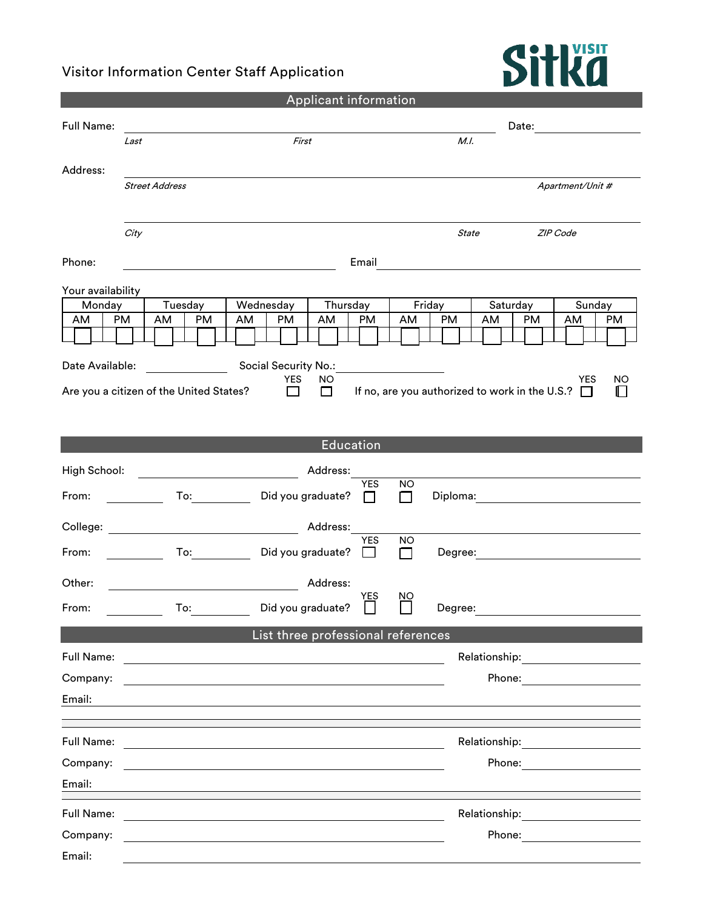## Visitor Information Center Staff Application



| Applicant information                                                                                                                                |                                                                                                                                                                                                                                |                                                                                                                       |                    |              |                                                                                                                                |  |  |
|------------------------------------------------------------------------------------------------------------------------------------------------------|--------------------------------------------------------------------------------------------------------------------------------------------------------------------------------------------------------------------------------|-----------------------------------------------------------------------------------------------------------------------|--------------------|--------------|--------------------------------------------------------------------------------------------------------------------------------|--|--|
| Full Name:                                                                                                                                           |                                                                                                                                                                                                                                |                                                                                                                       | Date:              |              |                                                                                                                                |  |  |
|                                                                                                                                                      | Last                                                                                                                                                                                                                           | First                                                                                                                 |                    | M.I.         |                                                                                                                                |  |  |
| Address:                                                                                                                                             |                                                                                                                                                                                                                                |                                                                                                                       |                    |              |                                                                                                                                |  |  |
|                                                                                                                                                      | <b>Street Address</b>                                                                                                                                                                                                          |                                                                                                                       |                    |              | Apartment/Unit #                                                                                                               |  |  |
|                                                                                                                                                      |                                                                                                                                                                                                                                |                                                                                                                       |                    |              |                                                                                                                                |  |  |
|                                                                                                                                                      | City                                                                                                                                                                                                                           |                                                                                                                       |                    | <b>State</b> | ZIP Code                                                                                                                       |  |  |
| Phone:                                                                                                                                               |                                                                                                                                                                                                                                | Email                                                                                                                 |                    |              |                                                                                                                                |  |  |
|                                                                                                                                                      |                                                                                                                                                                                                                                |                                                                                                                       |                    |              |                                                                                                                                |  |  |
| Your availability<br>Monday                                                                                                                          | Tuesday                                                                                                                                                                                                                        | Wednesday<br>Thursday                                                                                                 |                    | Friday       | Saturday<br>Sunday                                                                                                             |  |  |
| AM                                                                                                                                                   | PM<br>PM<br>AM                                                                                                                                                                                                                 | <b>PM</b><br><b>PM</b><br>AM<br>AM                                                                                    | AM                 | <b>PM</b>    | <b>PM</b><br>PM<br>AM<br>AM                                                                                                    |  |  |
| Social Security No.:<br>Date Available:                                                                                                              |                                                                                                                                                                                                                                |                                                                                                                       |                    |              |                                                                                                                                |  |  |
| <b>YES</b><br>NO.<br>YES<br>NO<br>If no, are you authorized to work in the U.S.? $\Box$<br>Are you a citizen of the United States?<br>П<br>П<br>II I |                                                                                                                                                                                                                                |                                                                                                                       |                    |              |                                                                                                                                |  |  |
|                                                                                                                                                      |                                                                                                                                                                                                                                |                                                                                                                       |                    |              |                                                                                                                                |  |  |
|                                                                                                                                                      |                                                                                                                                                                                                                                |                                                                                                                       |                    |              |                                                                                                                                |  |  |
|                                                                                                                                                      |                                                                                                                                                                                                                                | Education                                                                                                             |                    |              |                                                                                                                                |  |  |
| High School:                                                                                                                                         |                                                                                                                                                                                                                                | Address:                                                                                                              |                    |              |                                                                                                                                |  |  |
| From:                                                                                                                                                | To: and the state of the state of the state of the state of the state of the state of the state of the state o                                                                                                                 | <b>YES</b><br>Did you graduate?<br>П                                                                                  | NO.<br>П           | Diploma:     |                                                                                                                                |  |  |
| College:                                                                                                                                             |                                                                                                                                                                                                                                | Address:                                                                                                              |                    |              |                                                                                                                                |  |  |
| From:                                                                                                                                                | To: the contract of the contract of the contract of the contract of the contract of the contract of the contract of the contract of the contract of the contract of the contract of the contract of the contract of the contra | <b>YES</b><br>Did you graduate?<br>$\blacksquare$                                                                     | NO<br>$\mathbf{I}$ | Degree:      |                                                                                                                                |  |  |
| Other:                                                                                                                                               |                                                                                                                                                                                                                                | Address:                                                                                                              |                    |              |                                                                                                                                |  |  |
| From:                                                                                                                                                |                                                                                                                                                                                                                                | YES<br>To: Did you graduate?<br>ப                                                                                     | ΝO<br>ىسا          | Degree:      |                                                                                                                                |  |  |
|                                                                                                                                                      |                                                                                                                                                                                                                                | List three professional references                                                                                    |                    |              |                                                                                                                                |  |  |
| Full Name:                                                                                                                                           |                                                                                                                                                                                                                                | <u> 1980 - Johann Barn, mars ann an t-Amhain Aonaich an t-Aonaich an t-Aonaich ann an t-Aonaich ann an t-Aonaich</u>  |                    |              | Relationship:                                                                                                                  |  |  |
| Company:                                                                                                                                             |                                                                                                                                                                                                                                |                                                                                                                       |                    |              | Phone:<br><u> 1989 - Jan Barbara Barbara, prima popular popular popular popular popular popular popular popular popular po</u> |  |  |
| Email:                                                                                                                                               |                                                                                                                                                                                                                                |                                                                                                                       |                    |              |                                                                                                                                |  |  |
|                                                                                                                                                      |                                                                                                                                                                                                                                |                                                                                                                       |                    |              |                                                                                                                                |  |  |
| Full Name:                                                                                                                                           |                                                                                                                                                                                                                                |                                                                                                                       |                    |              |                                                                                                                                |  |  |
| Company:                                                                                                                                             |                                                                                                                                                                                                                                |                                                                                                                       |                    |              | Phone:                                                                                                                         |  |  |
| Email:                                                                                                                                               |                                                                                                                                                                                                                                |                                                                                                                       |                    |              |                                                                                                                                |  |  |
| Full Name:                                                                                                                                           |                                                                                                                                                                                                                                |                                                                                                                       |                    |              | Relationship: _________________                                                                                                |  |  |
| Company:                                                                                                                                             |                                                                                                                                                                                                                                | <u> 1989 - Johann Stoff, deutscher Stoff, der Stoff, der Stoff, der Stoff, der Stoff, der Stoff, der Stoff, der S</u> |                    |              | Phone: ________________                                                                                                        |  |  |
| Email:                                                                                                                                               |                                                                                                                                                                                                                                |                                                                                                                       |                    |              |                                                                                                                                |  |  |